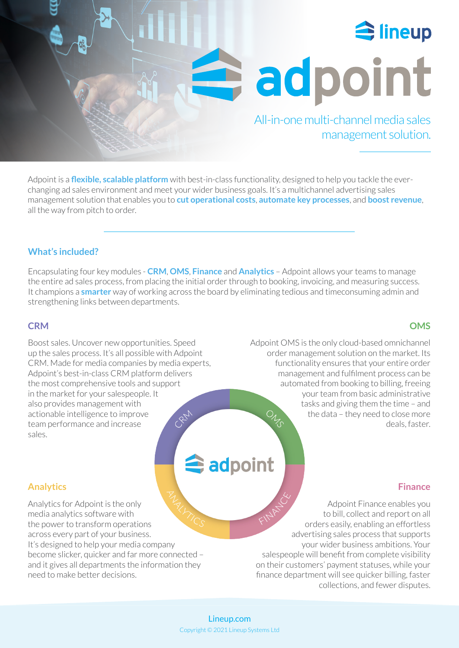

adpoint

All-in-one multi-channel media sales management solution.

Adpoint is a **flexible, scalable platform** with best-in-class functionality, designed to help you tackle the everchanging ad sales environment and meet your wider business goals. It's a multichannel advertising sales management solution that enables you to **cut operational costs**, **automate key processes**, and **boost revenue**, all the way from pitch to order.

**TAN** 

## **What's included?**

Encapsulating four key modules - **CRM**, **OMS**, **Finance** and **Analytics** – Adpoint allows your teams to manage the entire ad sales process, from placing the initial order through to booking, invoicing, and measuring success. It champions a **smarter** way of working across the board by eliminating tedious and timeconsuming admin and strengthening links between departments.

## **CRM**

Boost sales. Uncover new opportunities. Speed up the sales process. It's all possible with Adpoint CRM. Made for media companies by media experts, Adpoint's best-in-class CRM platform delivers the most comprehensive tools [and support](https://lineup.com/adpoint/)  in the market for your salespeople. It also provides management with actionable intelligence to improve team performance and increase sales.

# adpoint

## **Analytics**

Analytics for Adpoint is the only media analytics software with the power to transform operations across every part of your business. It's designed to help your media company become slicker, quicker and far more connected – and it gives all departments the information they need to make better decisions.

## **OMS**

Adpoint OMS is the only cloud-based omnichannel order management solution on the market. Its functionality ensures that your entire order management and fulfilment process can be automated from booking to billing, freeing your team from basic administrative tasks and giving them the time – and the data – they need to close more deals, faster.

## **Finance**

Adpoint Finance enables you to bill, collect and report on all orders easily, enabling an effortless advertising sales process that supports your wider business ambitions. Your salespeople will benefit from complete visibility on their customers' payment statuses, while your finance department will see quicker billing, faster collections, and fewer disputes.